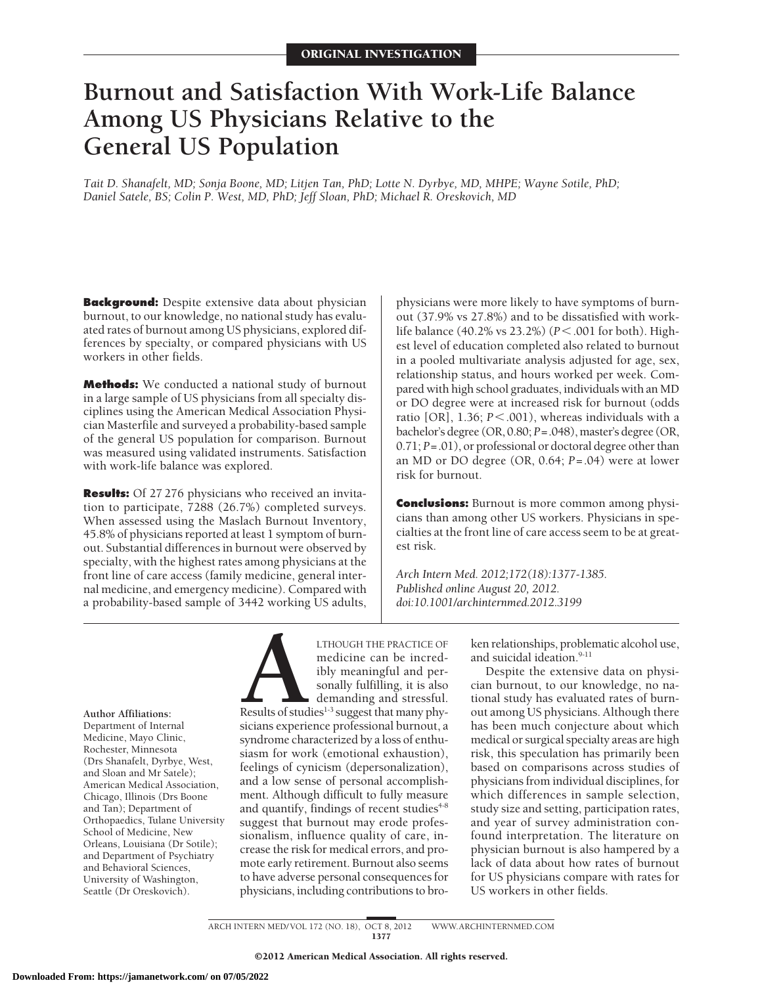# **Burnout and Satisfaction With Work-Life Balance Among US Physicians Relative to the General US Population**

*Tait D. Shanafelt, MD; Sonja Boone, MD; Litjen Tan, PhD; Lotte N. Dyrbye, MD, MHPE; Wayne Sotile, PhD; Daniel Satele, BS; Colin P. West, MD, PhD; Jeff Sloan, PhD; Michael R. Oreskovich, MD*

**Background:** Despite extensive data about physician burnout, to our knowledge, no national study has evaluated rates of burnout among US physicians, explored differences by specialty, or compared physicians with US workers in other fields.

**Methods:** We conducted a national study of burnout in a large sample of US physicians from all specialty disciplines using the American Medical Association Physician Masterfile and surveyed a probability-based sample of the general US population for comparison. Burnout was measured using validated instruments. Satisfaction with work-life balance was explored.

**Results:** Of 27 276 physicians who received an invitation to participate, 7288 (26.7%) completed surveys. When assessed using the Maslach Burnout Inventory, 45.8% of physicians reported at least 1 symptom of burnout. Substantial differences in burnout were observed by specialty, with the highest rates among physicians at the front line of care access (family medicine, general internal medicine, and emergency medicine). Compared with a probability-based sample of 3442 working US adults, physicians were more likely to have symptoms of burnout (37.9% vs 27.8%) and to be dissatisfied with worklife balance (40.2% vs 23.2%) ( $P < .001$  for both). Highest level of education completed also related to burnout in a pooled multivariate analysis adjusted for age, sex, relationship status, and hours worked per week. Compared with high school graduates, individuals with an MD or DO degree were at increased risk for burnout (odds ratio [OR], 1.36;  $P$ <.001), whereas individuals with a bachelor's degree (OR, 0.80; *P*=.048), master's degree (OR, 0.71; *P*=.01), or professional or doctoral degree other than an MD or DO degree (OR, 0.64; *P*=.04) were at lower risk for burnout.

**Conclusions:** Burnout is more common among physicians than among other US workers. Physicians in specialties at the front line of care access seem to be at greatest risk.

*Arch Intern Med. 2012;172(18):1377-1385. Published online August 20, 2012. doi:10.1001/archinternmed.2012.3199*

**Author Affiliations:** Department of Internal Medicine, Mayo Clinic, Rochester, Minnesota (Drs Shanafelt, Dyrbye, West, and Sloan and Mr Satele); American Medical Association, Chicago, Illinois (Drs Boone and Tan); Department of Orthopaedics, Tulane University School of Medicine, New Orleans, Louisiana (Dr Sotile); and Department of Psychiatry and Behavioral Sciences, University of Washington, Seattle (Dr Oreskovich).

LTHOUGH THE PRACTICE OF<br>
medicine can be incred-<br>
ibly meaningful and per-<br>
sonally fulfilling, it is also<br>
demanding and stressful.<br>
Results of studies<sup>1-3</sup> suggest that many phy-<br>
sicians experience professional burnout. medicine can be incredibly meaningful and personally fulfilling, it is also demanding and stressful. Results of studies<sup>1-3</sup> suggest that many physicians experience professional burnout, a syndrome characterized by a loss of enthusiasm for work (emotional exhaustion), feelings of cynicism (depersonalization), and a low sense of personal accomplishment. Although difficult to fully measure and quantify, findings of recent studies<sup>4-8</sup> suggest that burnout may erode professionalism, influence quality of care, increase the risk for medical errors, and promote early retirement. Burnout also seems to have adverse personal consequences for physicians, including contributions to bro-

ken relationships, problematic alcohol use, and suicidal ideation.<sup>9-11</sup>

Despite the extensive data on physician burnout, to our knowledge, no national study has evaluated rates of burnout among US physicians. Although there has been much conjecture about which medical or surgical specialty areas are high risk, this speculation has primarily been based on comparisons across studies of physicians from individual disciplines, for which differences in sample selection, study size and setting, participation rates, and year of survey administration confound interpretation. The literature on physician burnout is also hampered by a lack of data about how rates of burnout for US physicians compare with rates for US workers in other fields.

ARCH INTERN MED/ VOL 172 (NO. 18), OCT 8, 2012 WWW.ARCHINTERNMED.COM 1377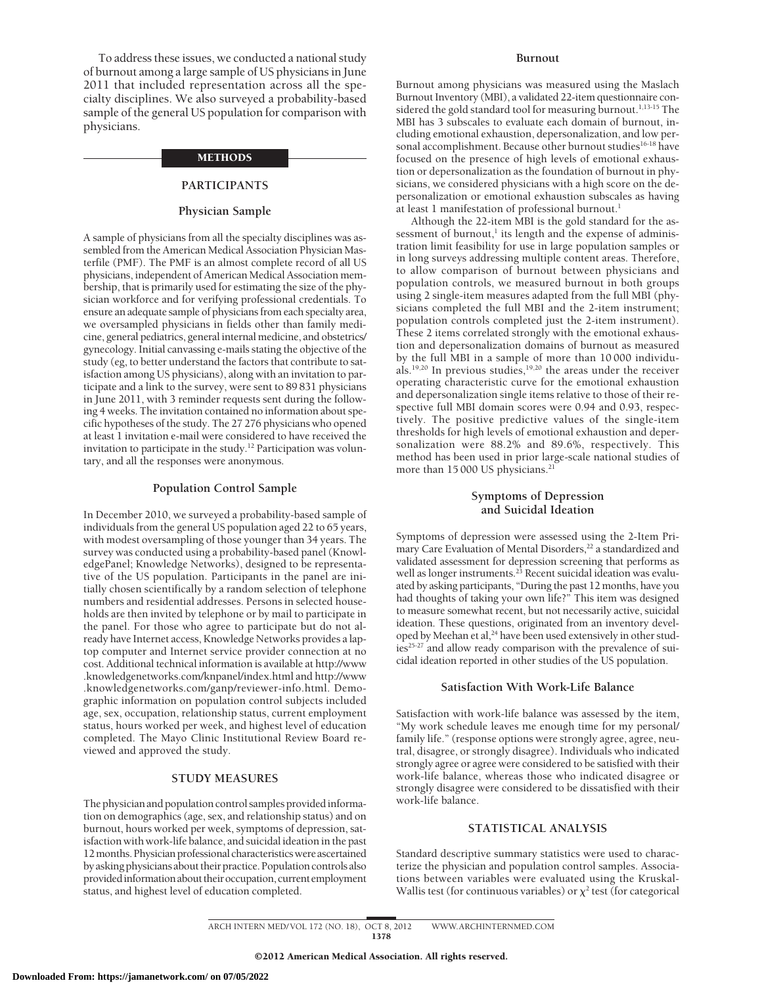To address these issues, we conducted a national study of burnout among a large sample of US physicians in June 2011 that included representation across all the specialty disciplines. We also surveyed a probability-based sample of the general US population for comparison with physicians.

#### **METHODS**

# **PARTICIPANTS**

# **Physician Sample**

A sample of physicians from all the specialty disciplines was assembled from the American Medical Association Physician Masterfile (PMF). The PMF is an almost complete record of all US physicians, independent of American Medical Association membership, that is primarily used for estimating the size of the physician workforce and for verifying professional credentials. To ensure an adequate sample of physicians from each specialty area, we oversampled physicians in fields other than family medicine, general pediatrics, general internal medicine, and obstetrics/ gynecology. Initial canvassing e-mails stating the objective of the study (eg, to better understand the factors that contribute to satisfaction among US physicians), along with an invitation to participate and a link to the survey, were sent to 89 831 physicians in June 2011, with 3 reminder requests sent during the following 4 weeks. The invitation contained no information about specific hypotheses of the study. The 27 276 physicians who opened at least 1 invitation e-mail were considered to have received the invitation to participate in the study.<sup>12</sup> Participation was voluntary, and all the responses were anonymous.

#### **Population Control Sample**

In December 2010, we surveyed a probability-based sample of individuals from the general US population aged 22 to 65 years, with modest oversampling of those younger than 34 years. The survey was conducted using a probability-based panel (KnowledgePanel; Knowledge Networks), designed to be representative of the US population. Participants in the panel are initially chosen scientifically by a random selection of telephone numbers and residential addresses. Persons in selected households are then invited by telephone or by mail to participate in the panel. For those who agree to participate but do not already have Internet access, Knowledge Networks provides a laptop computer and Internet service provider connection at no cost. Additional technical information is available at http://www .knowledgenetworks.com/knpanel/index.html and http://www .knowledgenetworks.com/ganp/reviewer-info.html. Demographic information on population control subjects included age, sex, occupation, relationship status, current employment status, hours worked per week, and highest level of education completed. The Mayo Clinic Institutional Review Board reviewed and approved the study.

# **STUDY MEASURES**

The physician and population control samples providedinformation on demographics (age, sex, and relationship status) and on burnout, hours worked per week, symptoms of depression, satisfaction with work-life balance, and suicidal ideation in the past 12 months. Physician professional characteristics were ascertained by asking physicians about their practice. Population controls also provided information about their occupation, current employment status, and highest level of education completed.

#### **Burnout**

Burnout among physicians was measured using the Maslach Burnout Inventory (MBI), a validated 22-item questionnaire considered the gold standard tool for measuring burnout.<sup>1,13-15</sup> The MBI has 3 subscales to evaluate each domain of burnout, including emotional exhaustion, depersonalization, and low personal accomplishment. Because other burnout studies<sup>16-18</sup> have focused on the presence of high levels of emotional exhaustion or depersonalization as the foundation of burnout in physicians, we considered physicians with a high score on the depersonalization or emotional exhaustion subscales as having at least 1 manifestation of professional burnout.<sup>1</sup>

Although the 22-item MBI is the gold standard for the assessment of burnout, $\frac{1}{1}$  its length and the expense of administration limit feasibility for use in large population samples or in long surveys addressing multiple content areas. Therefore, to allow comparison of burnout between physicians and population controls, we measured burnout in both groups using 2 single-item measures adapted from the full MBI (physicians completed the full MBI and the 2-item instrument; population controls completed just the 2-item instrument). These 2 items correlated strongly with the emotional exhaustion and depersonalization domains of burnout as measured by the full MBI in a sample of more than 10 000 individuals.19,20 In previous studies,19,20 the areas under the receiver operating characteristic curve for the emotional exhaustion and depersonalization single items relative to those of their respective full MBI domain scores were 0.94 and 0.93, respectively. The positive predictive values of the single-item thresholds for high levels of emotional exhaustion and depersonalization were 88.2% and 89.6%, respectively. This method has been used in prior large-scale national studies of more than 15 000 US physicians.<sup>21</sup>

## **Symptoms of Depression and Suicidal Ideation**

Symptoms of depression were assessed using the 2-Item Primary Care Evaluation of Mental Disorders,<sup>22</sup> a standardized and validated assessment for depression screening that performs as well as longer instruments.<sup>23</sup> Recent suicidal ideation was evaluated by asking participants, "During the past 12 months, have you had thoughts of taking your own life?" This item was designed to measure somewhat recent, but not necessarily active, suicidal ideation. These questions, originated from an inventory developed by Meehan et al,<sup>24</sup> have been used extensively in other studies<sup>25-27</sup> and allow ready comparison with the prevalence of suicidal ideation reported in other studies of the US population.

#### **Satisfaction With Work-Life Balance**

Satisfaction with work-life balance was assessed by the item, "My work schedule leaves me enough time for my personal/ family life." (response options were strongly agree, agree, neutral, disagree, or strongly disagree). Individuals who indicated strongly agree or agree were considered to be satisfied with their work-life balance, whereas those who indicated disagree or strongly disagree were considered to be dissatisfied with their work-life balance.

#### **STATISTICAL ANALYSIS**

Standard descriptive summary statistics were used to characterize the physician and population control samples. Associations between variables were evaluated using the Kruskal-Wallis test (for continuous variables) or  $\chi^2$  test (for categorical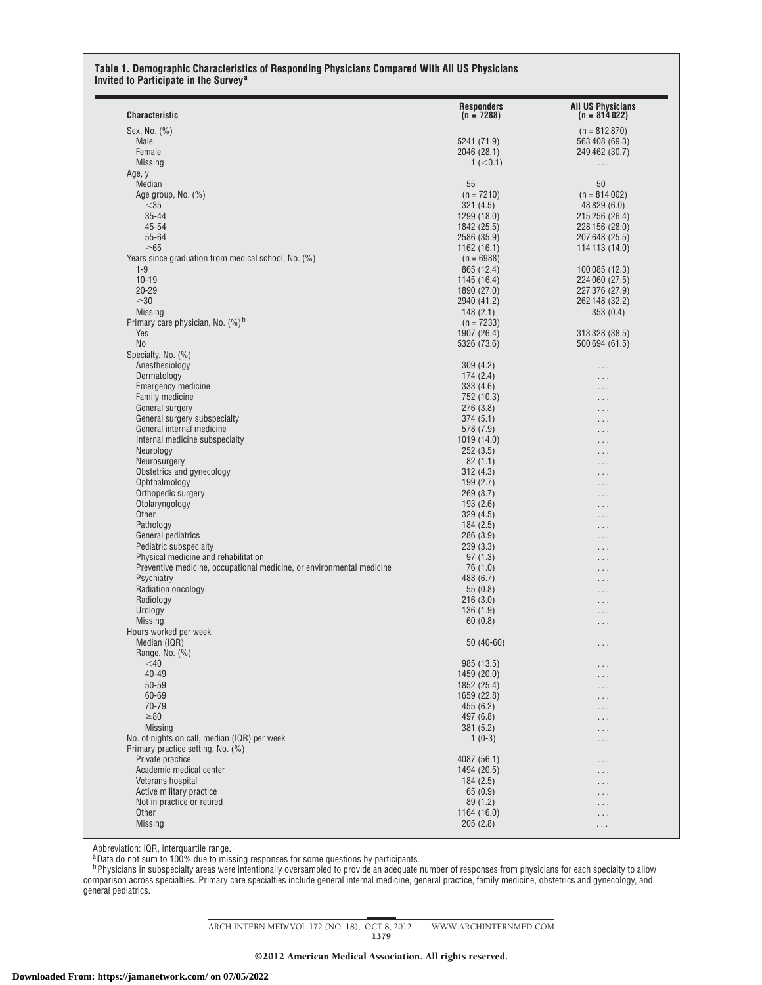#### **Table 1. Demographic Characteristics of Responding Physicians Compared With All US Physicians Invited to Participate in the Survey<sup>a</sup>**

| <b>Characteristic</b>                                                 | <b>Responders</b><br>$(n = 7288)$ | <b>All US Physicians</b><br>$(n = 814022)$ |
|-----------------------------------------------------------------------|-----------------------------------|--------------------------------------------|
| Sex, No. (%)                                                          |                                   | $(n = 812870)$                             |
| Male                                                                  | 5241 (71.9)                       | 563 408 (69.3)                             |
| Female                                                                | 2046 (28.1)                       | 249 462 (30.7)                             |
| <b>Missing</b>                                                        | 1 (< 0.1)                         | $\ldots$                                   |
| Age, y                                                                |                                   |                                            |
| Median                                                                | 55                                | 50                                         |
|                                                                       | $(n = 7210)$                      | $(n = 814002)$                             |
| Age group, No. $(\%)$                                                 |                                   |                                            |
| $<$ 35                                                                | 321(4.5)                          | 48 829 (6.0)                               |
| $35 - 44$                                                             | 1299 (18.0)                       | 215 256 (26.4)                             |
| 45-54                                                                 | 1842 (25.5)                       | 228 156 (28.0)                             |
| 55-64                                                                 | 2586 (35.9)                       | 207 648 (25.5)                             |
| $\geq 65$                                                             | 1162 (16.1)                       | 114 113 (14.0)                             |
| Years since graduation from medical school, No. (%)                   | $(n = 6988)$                      |                                            |
| $1 - 9$                                                               | 865 (12.4)                        | 100 085 (12.3)                             |
| $10 - 19$                                                             | 1145 (16.4)                       | 224 060 (27.5)                             |
| $20 - 29$                                                             | 1890 (27.0)                       | 227 376 (27.9)                             |
| $\geq 30$                                                             | 2940 (41.2)                       | 262 148 (32.2)                             |
| <b>Missing</b>                                                        | 148(2.1)                          | 353(0.4)                                   |
| Primary care physician, No. $(\%)$ <sup>b</sup>                       | $(n = 7233)$                      |                                            |
| Yes                                                                   | 1907 (26.4)                       | 313 328 (38.5)                             |
| No                                                                    | 5326 (73.6)                       | 500 694 (61.5)                             |
| Specialty, No. (%)                                                    |                                   |                                            |
| Anesthesiology                                                        | 309(4.2)                          |                                            |
|                                                                       |                                   | $\cdots$                                   |
| Dermatology                                                           | 174(2.4)                          | $\cdots$                                   |
| <b>Emergency medicine</b>                                             | 333(4.6)                          | $\sim$                                     |
| <b>Family medicine</b>                                                | 752 (10.3)                        |                                            |
| General surgery                                                       | 276(3.8)                          | $\sim$ $\sim$                              |
| General surgery subspecialty                                          | 374(5.1)                          | $\sim$ $\sim$                              |
| General internal medicine                                             | 578 (7.9)                         | . .                                        |
| Internal medicine subspecialty                                        | 1019 (14.0)                       | $\ddot{\phantom{0}}$                       |
| Neurology                                                             | 252(3.5)                          | $\cdots$                                   |
| Neurosurgery                                                          | 82(1.1)                           | $\cdots$                                   |
| Obstetrics and gynecology                                             | 312(4.3)                          |                                            |
| Ophthalmology                                                         | 199(2.7)                          | $\sim$ $\sim$                              |
| Orthopedic surgery                                                    | 269(3.7)                          | $\cdots$                                   |
| Otolaryngology                                                        | 193(2.6)                          |                                            |
| Other                                                                 | 329(4.5)                          | $\ddotsc$                                  |
| Pathology                                                             | 184(2.5)                          | $\ddot{\phantom{0}}$                       |
| General pediatrics                                                    | 286(3.9)                          | $\cdots$                                   |
|                                                                       |                                   | $\cdots$                                   |
| Pediatric subspecialty                                                | 239(3.3)                          |                                            |
| Physical medicine and rehabilitation                                  | 97(1.3)                           | $\sim$ $\sim$                              |
| Preventive medicine, occupational medicine, or environmental medicine | 76 (1.0)                          | $\cdots$                                   |
| Psychiatry                                                            | 488 (6.7)                         | $\ddotsc$                                  |
| Radiation oncology                                                    | 55(0.8)                           |                                            |
| Radiology                                                             | 216(3.0)                          | $\ddot{\phantom{0}}$                       |
| Urology                                                               | 136(1.9)                          | $\ddot{\phantom{0}}$                       |
| <b>Missing</b>                                                        | 60(0.8)                           | . .                                        |
| Hours worked per week                                                 |                                   |                                            |
| Median (IQR)                                                          | $50(40-60)$                       | .                                          |
| Range, No. (%)                                                        |                                   |                                            |
| $<$ 40                                                                | 985 (13.5)                        |                                            |
| 40-49                                                                 | 1459 (20.0)                       | .                                          |
| 50-59                                                                 |                                   | $\cdots$                                   |
|                                                                       | 1852 (25.4)                       | $\cdots$                                   |
| 60-69                                                                 | 1659 (22.8)                       | . .                                        |
| 70-79                                                                 | 455(6.2)                          | $\sim$ $\sim$                              |
| $\geq 80$                                                             | 497 (6.8)                         | $\cdots$                                   |
| Missing                                                               | 381(5.2)                          | $\ddotsc$                                  |
| No. of nights on call, median (IQR) per week                          | $1(0-3)$                          | .                                          |
| Primary practice setting, No. (%)                                     |                                   |                                            |
| Private practice                                                      | 4087 (56.1)                       | $\cdots$                                   |
| Academic medical center                                               | 1494 (20.5)                       | . .                                        |
| Veterans hospital                                                     | 184(2.5)                          | $\sim$ $\sim$                              |
| Active military practice                                              | 65(0.9)                           |                                            |
| Not in practice or retired                                            | 89(1.2)                           | $\cdots$                                   |
|                                                                       |                                   | . .                                        |
| Other                                                                 | 1164 (16.0)<br>205(2.8)           | $\cdots$                                   |
| <b>Missing</b>                                                        |                                   |                                            |

Abbreviation: IQR, interquartile range.<br><sup>a</sup>Data do not sum to 100% due to missing responses for some questions by participants.

<sup>b</sup> Physicians in subspecialty areas were intentionally oversampled to provide an adequate number of responses from physicians for each specialty to allow comparison across specialties. Primary care specialties include general internal medicine, general practice, family medicine, obstetrics and gynecology, and general pediatrics.

ARCH INTERN MED/ VOL 172 (NO. 18), OCT 8, 2012 WWW.ARCHINTERNMED.COM

1379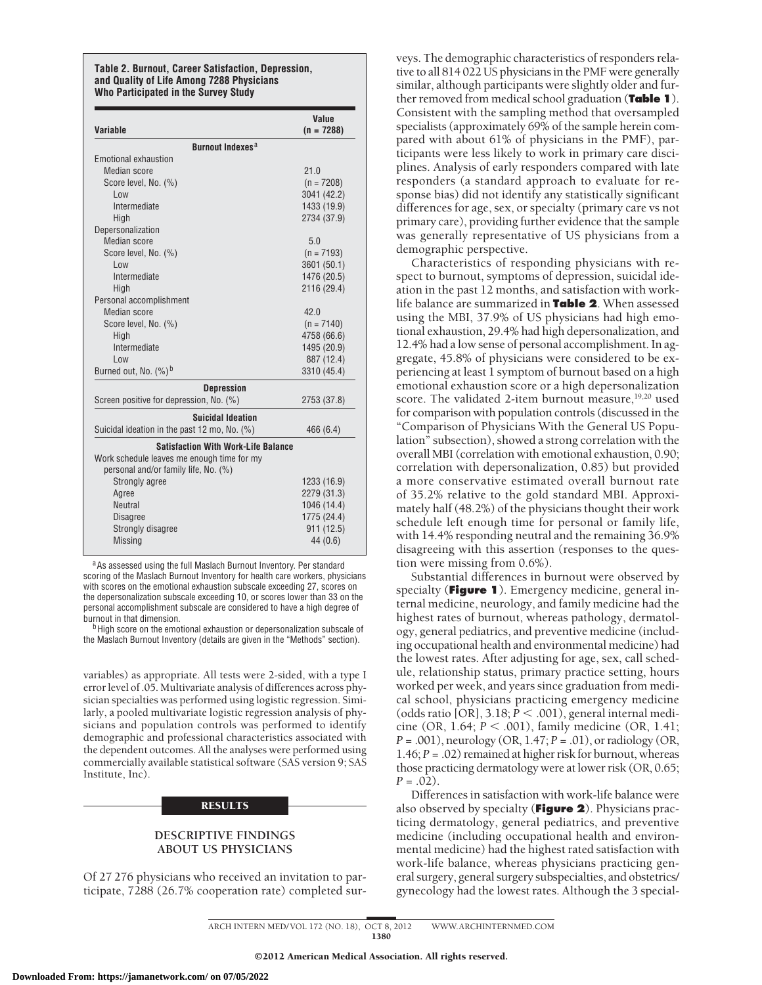#### **Table 2. Burnout, Career Satisfaction, Depression, and Quality of Life Among 7288 Physicians Who Participated in the Survey Study**

| Variable                                     | Value<br>$(n = 7288)$ |
|----------------------------------------------|-----------------------|
| <b>Burnout Indexes<sup>a</sup></b>           |                       |
| Emotional exhaustion                         |                       |
| Median score                                 | 21.0                  |
| Score level, No. (%)                         | $(n = 7208)$          |
| l ow                                         | 3041 (42.2)           |
| Intermediate                                 | 1433 (19.9)           |
| High                                         | 2734 (37.9)           |
| Depersonalization                            |                       |
| Median score                                 | 5.0                   |
| Score level, No. (%)                         | $(n = 7193)$          |
| Low                                          | 3601 (50.1)           |
| Intermediate                                 | 1476 (20.5)           |
| High                                         | 2116 (29.4)           |
| Personal accomplishment                      |                       |
| Median score                                 | 42.0                  |
| Score level, No. (%)                         | $(n = 7140)$          |
| High                                         | 4758 (66.6)           |
| Intermediate                                 | 1495 (20.9)           |
| Low                                          | 887 (12.4)            |
| Burned out, No. (%) <sup>b</sup>             | 3310 (45.4)           |
| <b>Depression</b>                            |                       |
| Screen positive for depression, No. (%)      | 2753 (37.8)           |
| <b>Suicidal Ideation</b>                     |                       |
| Suicidal ideation in the past 12 mo, No. (%) | 466 (6.4)             |
| <b>Satisfaction With Work-Life Balance</b>   |                       |
| Work schedule leaves me enough time for my   |                       |
| personal and/or family life, No. (%)         |                       |
| Strongly agree                               | 1233 (16.9)           |
| Agree                                        | 2279 (31.3)           |
| <b>Neutral</b>                               | 1046 (14.4)           |
| <b>Disagree</b>                              | 1775 (24.4)           |
| <b>Strongly disagree</b>                     | 911 (12.5)            |
| <b>Missing</b>                               | 44 (0.6)              |

aAs assessed using the full Maslach Burnout Inventory. Per standard scoring of the Maslach Burnout Inventory for health care workers, physicians with scores on the emotional exhaustion subscale exceeding 27, scores on the depersonalization subscale exceeding 10, or scores lower than 33 on the personal accomplishment subscale are considered to have a high degree of burnout in that dimension.

<sup>b</sup>High score on the emotional exhaustion or depersonalization subscale of the Maslach Burnout Inventory (details are given in the "Methods" section).

variables) as appropriate. All tests were 2-sided, with a type I error level of .05. Multivariate analysis of differences across physician specialties was performed using logistic regression. Similarly, a pooled multivariate logistic regression analysis of physicians and population controls was performed to identify demographic and professional characteristics associated with the dependent outcomes. All the analyses were performed using commercially available statistical software (SAS version 9; SAS Institute, Inc).

## **RESULTS**

# **DESCRIPTIVE FINDINGS ABOUT US PHYSICIANS**

Of 27 276 physicians who received an invitation to participate, 7288 (26.7% cooperation rate) completed surveys. The demographic characteristics of responders relative to all 814 022 US physicians in the PMF were generally similar, although participants were slightly older and further removed from medical school graduation (**Table 1**). Consistent with the sampling method that oversampled specialists (approximately 69% of the sample herein compared with about 61% of physicians in the PMF), participants were less likely to work in primary care disciplines. Analysis of early responders compared with late responders (a standard approach to evaluate for response bias) did not identify any statistically significant differences for age, sex, or specialty (primary care vs not primary care), providing further evidence that the sample was generally representative of US physicians from a demographic perspective.

Characteristics of responding physicians with respect to burnout, symptoms of depression, suicidal ideation in the past 12 months, and satisfaction with worklife balance are summarized in **Table 2**. When assessed using the MBI, 37.9% of US physicians had high emotional exhaustion, 29.4% had high depersonalization, and 12.4% had a low sense of personal accomplishment. In aggregate, 45.8% of physicians were considered to be experiencing at least 1 symptom of burnout based on a high emotional exhaustion score or a high depersonalization score. The validated 2-item burnout measure,<sup>19,20</sup> used for comparison with population controls (discussed in the "Comparison of Physicians With the General US Population" subsection), showed a strong correlation with the overall MBI (correlation with emotional exhaustion, 0.90; correlation with depersonalization, 0.85) but provided a more conservative estimated overall burnout rate of 35.2% relative to the gold standard MBI. Approximately half (48.2%) of the physicians thought their work schedule left enough time for personal or family life, with 14.4% responding neutral and the remaining 36.9% disagreeing with this assertion (responses to the question were missing from 0.6%).

Substantial differences in burnout were observed by specialty (**Figure 1**). Emergency medicine, general internal medicine, neurology, and family medicine had the highest rates of burnout, whereas pathology, dermatology, general pediatrics, and preventive medicine (including occupational health and environmental medicine) had the lowest rates. After adjusting for age, sex, call schedule, relationship status, primary practice setting, hours worked per week, and years since graduation from medical school, physicians practicing emergency medicine (odds ratio [OR], 3.18;  $P < .001$ ), general internal medicine (OR, 1.64; *P* - .001), family medicine (OR, 1.41; *P* = .001), neurology (OR, 1.47; *P* = .01), or radiology (OR, 1.46; *P* = .02) remained at higher risk for burnout, whereas those practicing dermatology were at lower risk (OR, 0.65;  $P = .02$ ).

Differences in satisfaction with work-life balance were also observed by specialty (**Figure 2**). Physicians practicing dermatology, general pediatrics, and preventive medicine (including occupational health and environmental medicine) had the highest rated satisfaction with work-life balance, whereas physicians practicing general surgery, general surgery subspecialties, and obstetrics/ gynecology had the lowest rates. Although the 3 special-

ARCH INTERN MED/ VOL 172 (NO. 18), OCT 8, 2012 WWW.ARCHINTERNMED.COM 1380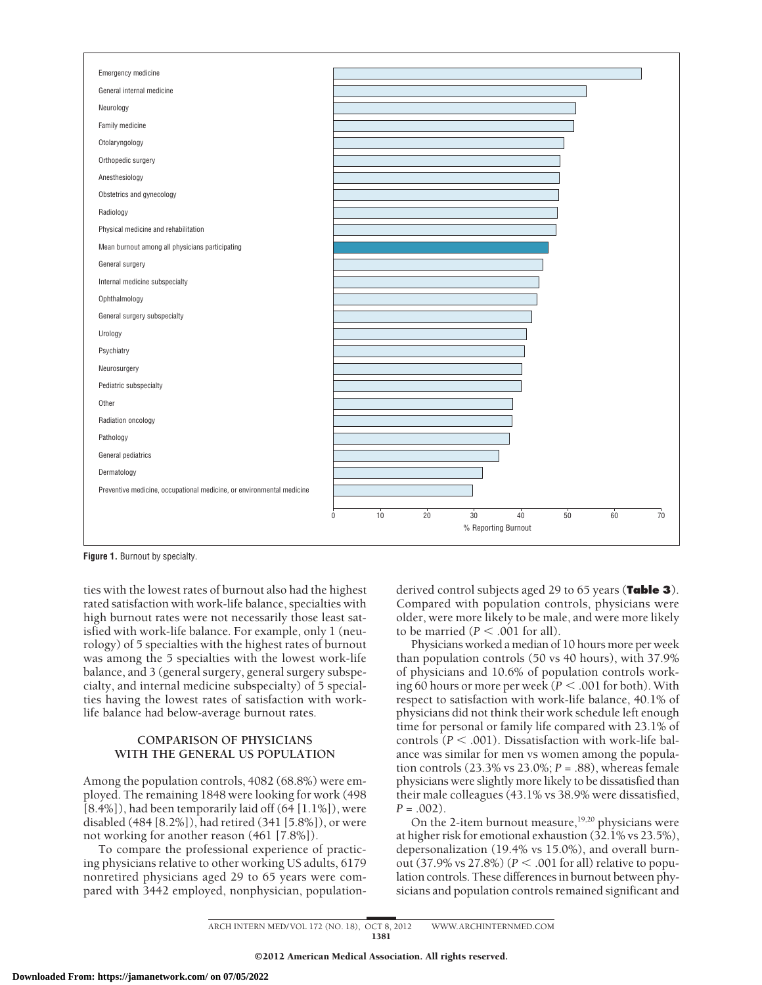

**Figure 1.** Burnout by specialty.

ties with the lowest rates of burnout also had the highest rated satisfaction with work-life balance, specialties with high burnout rates were not necessarily those least satisfied with work-life balance. For example, only 1 (neurology) of 5 specialties with the highest rates of burnout was among the 5 specialties with the lowest work-life balance, and 3 (general surgery, general surgery subspecialty, and internal medicine subspecialty) of 5 specialties having the lowest rates of satisfaction with worklife balance had below-average burnout rates.

# **COMPARISON OF PHYSICIANS WITH THE GENERAL US POPULATION**

Among the population controls, 4082 (68.8%) were employed. The remaining 1848 were looking for work (498  $[8.4\%]$ ), had been temporarily laid off  $(64 [1.1\%])$ , were disabled (484 [8.2%]), had retired (341 [5.8%]), or were not working for another reason (461 [7.8%]).

To compare the professional experience of practicing physicians relative to other working US adults, 6179 nonretired physicians aged 29 to 65 years were compared with 3442 employed, nonphysician, populationderived control subjects aged 29 to 65 years (**Table 3**). Compared with population controls, physicians were older, were more likely to be male, and were more likely to be married  $(P < .001$  for all).

Physicians worked a median of 10 hours more per week than population controls (50 vs 40 hours), with 37.9% of physicians and 10.6% of population controls working 60 hours or more per week ( $P < .001$  for both). With respect to satisfaction with work-life balance, 40.1% of physicians did not think their work schedule left enough time for personal or family life compared with 23.1% of controls (*P* < .001). Dissatisfaction with work-life balance was similar for men vs women among the population controls (23.3% vs 23.0%; *P* = .88), whereas female physicians were slightly more likely to be dissatisfied than their male colleagues (43.1% vs 38.9% were dissatisfied, *P* = .002).

On the 2-item burnout measure,<sup>19,20</sup> physicians were at higher risk for emotional exhaustion  $(32.1\% \text{ vs } 23.5\%).$ depersonalization (19.4% vs 15.0%), and overall burnout (37.9% vs 27.8%) ( $P < .001$  for all) relative to population controls. These differences in burnout between physicians and population controls remained significant and

ARCH INTERN MED/ VOL 172 (NO. 18), OCT 8, 2012 WWW.ARCHINTERNMED.COM 1381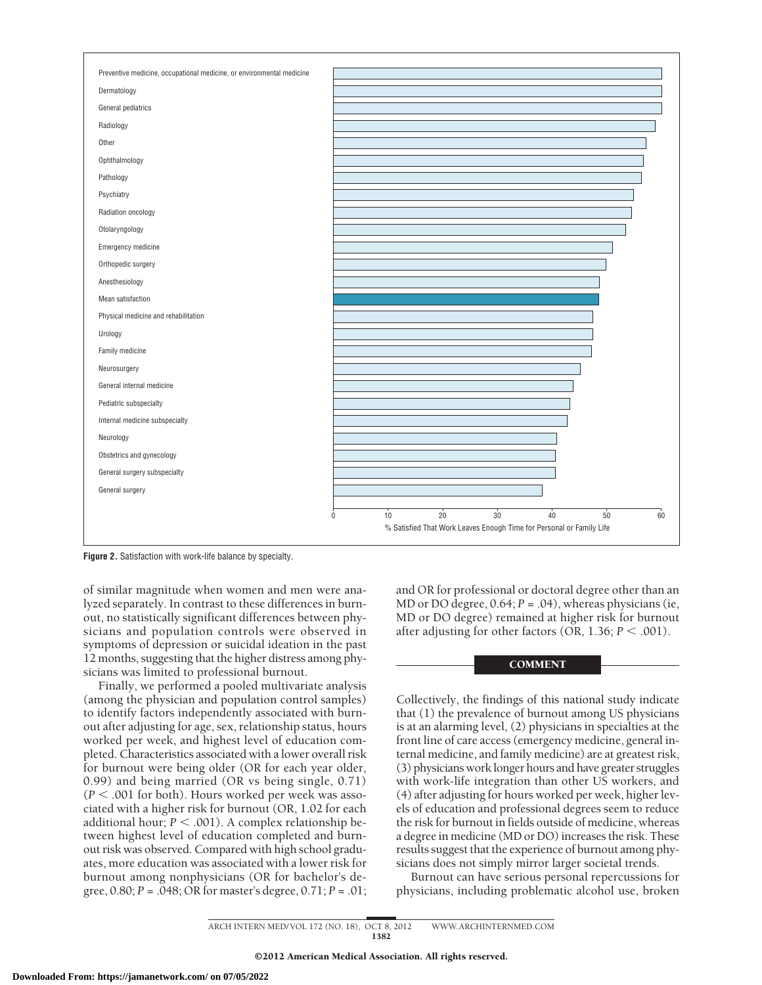

**Figure 2.** Satisfaction with work-life balance by specialty.

of similar magnitude when women and men were analyzed separately. In contrast to these differences in burnout, no statistically significant differences between physicians and population controls were observed in symptoms of depression or suicidal ideation in the past 12 months, suggesting that the higher distress among physicians was limited to professional burnout.

Finally, we performed a pooled multivariate analysis (among the physician and population control samples) to identify factors independently associated with burnout after adjusting for age, sex, relationship status, hours worked per week, and highest level of education completed. Characteristics associated with a lower overall risk for burnout were being older (OR for each year older, 0.99) and being married (OR vs being single, 0.71)  $(P < .001$  for both). Hours worked per week was associated with a higher risk for burnout (OR, 1.02 for each additional hour;  $P < .001$ ). A complex relationship between highest level of education completed and burnout risk was observed. Compared with high school graduates, more education was associated with a lower risk for burnout among nonphysicians (OR for bachelor's degree, 0.80; *P* = .048; OR for master's degree, 0.71; *P* = .01;

and OR for professional or doctoral degree other than an MD or DO degree, 0.64; *P* = .04), whereas physicians (ie, MD or DO degree) remained at higher risk for burnout after adjusting for other factors  $(OR, 1.36; P < .001)$ .

## **COMMENT**

Collectively, the findings of this national study indicate that (1) the prevalence of burnout among US physicians is at an alarming level, (2) physicians in specialties at the front line of care access (emergency medicine, general internal medicine, and family medicine) are at greatest risk, (3) physicians work longer hours and have greater struggles with work-life integration than other US workers, and (4) after adjusting for hours worked per week, higher levels of education and professional degrees seem to reduce the risk for burnout in fields outside of medicine, whereas a degree in medicine (MD or DO) increases the risk. These results suggest that the experience of burnout among physicians does not simply mirror larger societal trends.

Burnout can have serious personal repercussions for physicians, including problematic alcohol use, broken

ARCH INTERN MED/ VOL 172 (NO. 18), OCT 8, 2012 WWW.ARCHINTERNMED.COM 1382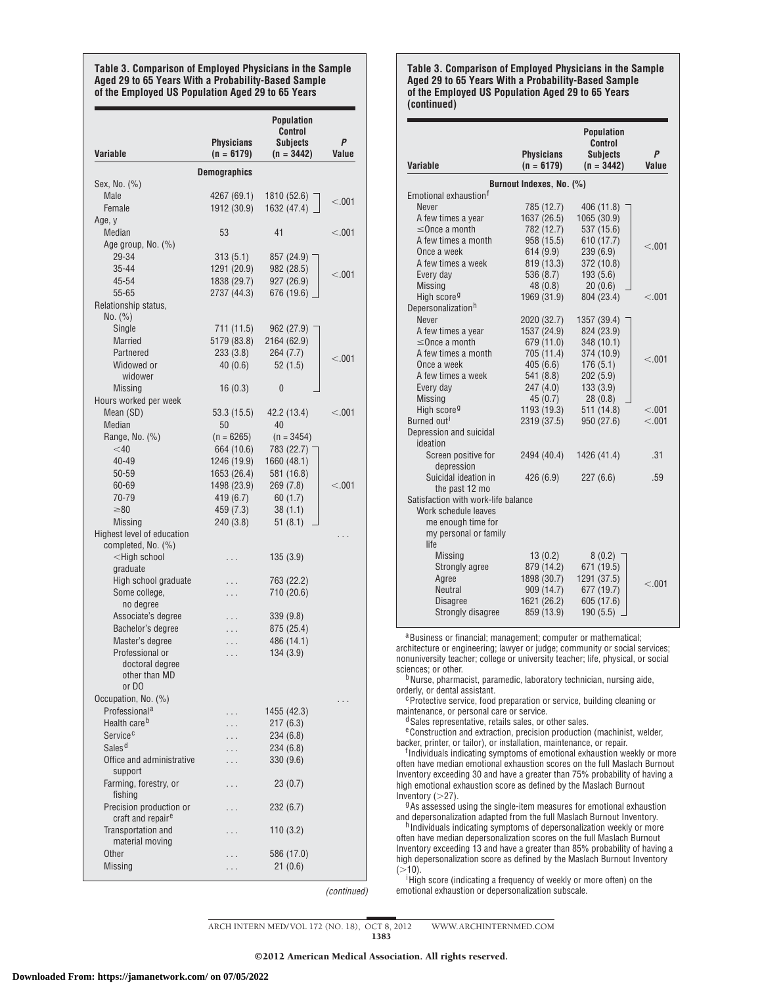**Table 3. Comparison of Employed Physicians in the Sample Aged 29 to 65 Years With a Probability-Based Sample of the Employed US Population Aged 29 to 65 Years**

| Variable                                                           | <b>Physicians</b><br>$(n = 6179)$ | <b>Population</b><br>Control<br><b>Subjects</b><br>$(n = 3442)$ | P<br>Value |
|--------------------------------------------------------------------|-----------------------------------|-----------------------------------------------------------------|------------|
|                                                                    | <b>Demographics</b>               |                                                                 |            |
| Sex, No. (%)                                                       |                                   |                                                                 |            |
| Male                                                               | 4267 (69.1)                       | 1810 (52.6)                                                     |            |
| Female                                                             | 1912 (30.9)                       | 1632 (47.4)                                                     | < 0.001    |
| Age, y                                                             |                                   |                                                                 |            |
| Median                                                             | 53                                | 41                                                              | < 0.001    |
| Age group, No. (%)                                                 |                                   |                                                                 |            |
| 29-34                                                              | 313(5.1)                          | 857 (24.9)                                                      |            |
| 35-44                                                              | 1291 (20.9)                       | 982 (28.5)                                                      | < 0.001    |
| 45-54                                                              | 1838 (29.7)                       | 927 (26.9)                                                      |            |
| 55-65                                                              | 2737 (44.3)                       | 676 (19.6)                                                      |            |
| Relationship status,<br>No. (%)                                    |                                   |                                                                 |            |
| Single                                                             | 711 (11.5)                        | 962 (27.9)                                                      |            |
| <b>Married</b>                                                     | 5179 (83.8)                       | 2164 (62.9)                                                     |            |
| Partnered                                                          | 233 (3.8)                         | 264 (7.7)                                                       | < 0.001    |
| Widowed or<br>widower                                              | 40(0.6)                           | 52(1.5)                                                         |            |
| <b>Missing</b>                                                     | 16(0.3)                           | 0                                                               |            |
| Hours worked per week                                              |                                   |                                                                 |            |
| Mean (SD)                                                          | 53.3 (15.5)                       | 42.2 (13.4)                                                     | < 0.001    |
| Median                                                             | 50                                | 40                                                              |            |
| Range, No. (%)                                                     | $(n = 6265)$                      | $(n = 3454)$                                                    |            |
| $<$ 40                                                             | 664 (10.6)                        | 783 (22.7)                                                      |            |
| 40-49                                                              | 1246 (19.9)                       | 1660 (48.1)                                                     |            |
| 50-59<br>60-69                                                     | 1653 (26.4)                       | 581 (16.8)                                                      |            |
| 70-79                                                              | 1498 (23.9)<br>419 (6.7)          | 269(7.8)<br>60(1.7)                                             | < 0.001    |
| $\geq 80$                                                          | 459 (7.3)                         | 38(1.1)                                                         |            |
| <b>Missing</b>                                                     | 240(3.8)                          | 51(8.1)                                                         |            |
| Highest level of education<br>completed, No. (%)                   |                                   |                                                                 |            |
| <high school<="" td=""><td>.</td><td>135(3.9)</td><td></td></high> | .                                 | 135(3.9)                                                        |            |
| graduate                                                           |                                   |                                                                 |            |
| High school graduate                                               |                                   | 763 (22.2)                                                      |            |
| Some college,<br>no degree                                         |                                   | 710 (20.6)                                                      |            |
| Associate's degree                                                 | .                                 | 339 (9.8)                                                       |            |
| Bachelor's degree                                                  |                                   | 875 (25.4)                                                      |            |
| Master's degree                                                    | $\ddot{\phantom{0}}$              | 486 (14.1)                                                      |            |
| Professional or<br>doctoral degree                                 | .                                 | 134(3.9)                                                        |            |
| other than MD<br>or DO                                             |                                   |                                                                 |            |
| Occupation, No. (%)                                                |                                   |                                                                 |            |
| Professional <sup>a</sup>                                          | .                                 | 1455 (42.3)                                                     |            |
| Health care <sup>b</sup>                                           | .                                 | 217(6.3)                                                        |            |
| Service <sup>c</sup>                                               | .                                 | 234 (6.8)                                                       |            |
| Sales <sup>d</sup>                                                 |                                   | 234 (6.8)                                                       |            |
| Office and administrative<br>support                               | .                                 | 330 (9.6)                                                       |            |
| Farming, forestry, or<br>fishing                                   | .                                 | 23(0.7)                                                         |            |
| Precision production or<br>craft and repair <sup>e</sup>           | .                                 | 232(6.7)                                                        |            |
| Transportation and<br>material moving                              | .                                 | 110(3.2)                                                        |            |
| Other                                                              |                                   | 586 (17.0)                                                      |            |
| Missing                                                            |                                   | 21(0.6)                                                         |            |

*(continued)*

**Table 3. Comparison of Employed Physicians in the Sample Aged 29 to 65 Years With a Probability-Based Sample of the Employed US Population Aged 29 to 65 Years (continued)**

| Variable                            | <b>Physicians</b><br>$(n = 6179)$ | <b>Population</b><br><b>Control</b><br><b>Subjects</b><br>$(n = 3442)$ | P<br>Value |
|-------------------------------------|-----------------------------------|------------------------------------------------------------------------|------------|
|                                     | Burnout Indexes, No. (%)          |                                                                        |            |
| Emotional exhaustion <sup>f</sup>   |                                   |                                                                        |            |
| Never                               | 785 (12.7)                        | 406 (11.8)                                                             |            |
| A few times a year                  | 1637 (26.5)                       | 1065 (30.9)                                                            |            |
| $\leq$ Once a month                 | 782 (12.7)                        | 537 (15.6)                                                             |            |
| A few times a month                 | 958 (15.5)                        | 610 (17.7)                                                             | < 0.001    |
| Once a week                         | 614 (9.9)                         | 239 (6.9)                                                              |            |
| A few times a week                  | 819 (13.3)                        | 372 (10.8)                                                             |            |
| Every day                           | 536 (8.7)                         | 193 (5.6)                                                              |            |
| <b>Missing</b>                      | 48(0.8)                           | 20(0.6)                                                                |            |
| High score <sup>g</sup>             | 1969 (31.9)                       | 804 (23.4)                                                             | < 0.01     |
| Depersonalization <sup>h</sup>      |                                   |                                                                        |            |
| Never                               | 2020 (32.7)                       | 1357 (39.4)                                                            |            |
| A few times a year                  | 1537 (24.9)                       | 824 (23.9)                                                             |            |
| $\leq$ Once a month                 | 679 (11.0)                        | 348 (10.1)                                                             |            |
| A few times a month                 | 705 (11.4)                        | 374 (10.9)                                                             | < 0.01     |
| Once a week                         | 405(6.6)                          | 176(5.1)                                                               |            |
| A few times a week                  | 541 (8.8)                         | 202(5.9)                                                               |            |
| Every day                           | 247(4.0)                          | 133(3.9)                                                               |            |
| <b>Missing</b>                      | 45(0.7)                           | 28(0.8)                                                                |            |
| High score <sup>g</sup>             | 1193 (19.3)                       | 511 (14.8)                                                             | < 0.001    |
| Burned out <sup>i</sup>             | 2319 (37.5)                       | 950 (27.6)                                                             | < 0.001    |
| Depression and suicidal             |                                   |                                                                        |            |
| ideation                            |                                   |                                                                        |            |
| Screen positive for<br>depression   | 2494 (40.4)                       | 1426 (41.4)                                                            | .31        |
| Suicidal ideation in                | 426 (6.9)                         | 227(6.6)                                                               | .59        |
| the past 12 mo                      |                                   |                                                                        |            |
| Satisfaction with work-life balance |                                   |                                                                        |            |
| Work schedule leaves                |                                   |                                                                        |            |
| me enough time for                  |                                   |                                                                        |            |
| my personal or family               |                                   |                                                                        |            |
| life                                |                                   |                                                                        |            |
| <b>Missing</b>                      | 13(0.2)                           | 8(0.2)                                                                 |            |
| Strongly agree                      | 879 (14.2)                        | 671 (19.5)                                                             |            |
| Agree                               | 1898 (30.7)                       | 1291 (37.5)                                                            | < 0.001    |
| <b>Neutral</b>                      | 909 (14.7)                        | 677 (19.7)                                                             |            |
| <b>Disagree</b>                     | 1621 (26.2)                       | 605 (17.6)                                                             |            |
| Strongly disagree                   | 859 (13.9)                        | 190(5.5)                                                               |            |

aBusiness or financial; management; computer or mathematical; architecture or engineering; lawyer or judge; community or social services; nonuniversity teacher; college or university teacher; life, physical, or social sciences; or other.

 $b$ Nurse, pharmacist, paramedic, laboratory technician, nursing aide, orderly, or dental assistant.

 $c$  Protective service, food preparation or service, building cleaning or maintenance, or personal care or service.

<sup>d</sup> Sales representative, retails sales, or other sales.

<sup>e</sup> Construction and extraction, precision production (machinist, welder, backer, printer, or tailor), or installation, maintenance, or repair.

backer, printer, or tailor), or installation, maintenance, or repair.<br><sup>f</sup>Individuals indicating symptoms of emotional exhaustion weekly or more often have median emotional exhaustion scores on the full Maslach Burnout Inventory exceeding 30 and have a greater than 75% probability of having a high emotional exhaustion score as defined by the Maslach Burnout

Inventory (27). gAs assessed using the single-item measures for emotional exhaustion and depersonalization adapted from the full Maslach Burnout Inventory.<br>h Individuals indicating symptoms of depersonalization weekly or more

often have median depersonalization scores on the full Maslach Burnout Inventory exceeding 13 and have a greater than 85% probability of having a high depersonalization score as defined by the Maslach Burnout Inventory  $(>10)$ .

<sup>i</sup> High score (indicating a frequency of weekly or more often) on the emotional exhaustion or depersonalization subscale.

ARCH INTERN MED/ VOL 172 (NO. 18), OCT 8, 2012 WWW.ARCHINTERNMED.COM

©2012 American Medical Association. All rights reserved.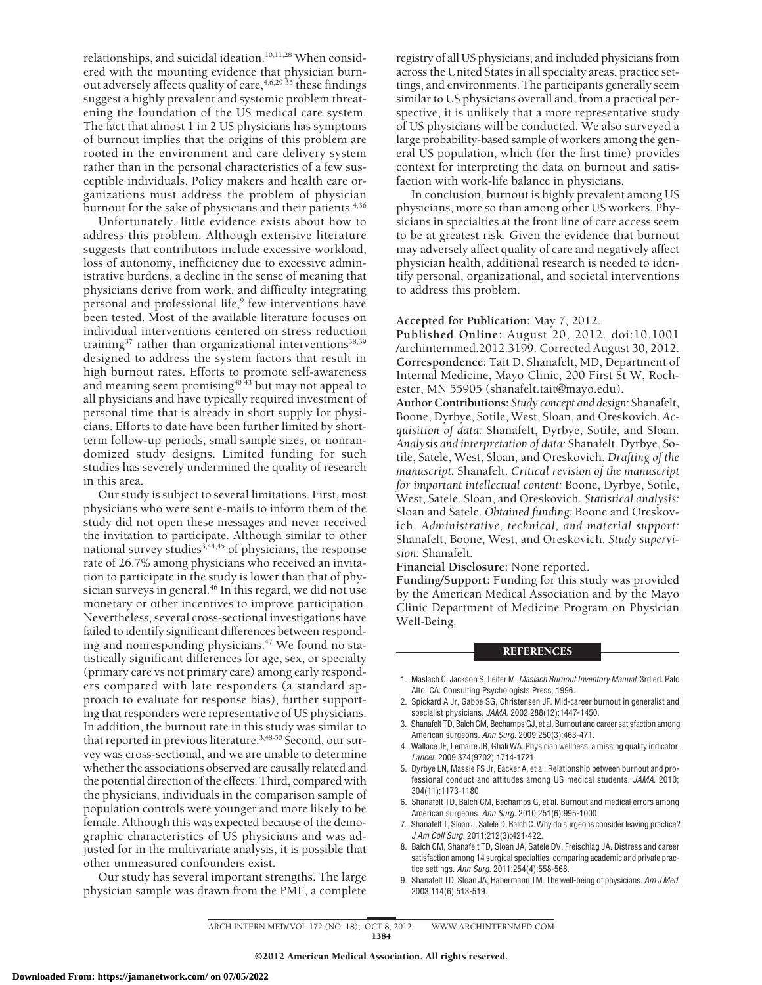relationships, and suicidal ideation.<sup>10,11,28</sup> When considered with the mounting evidence that physician burnout adversely affects quality of care,4,6,29-35 these findings suggest a highly prevalent and systemic problem threatening the foundation of the US medical care system. The fact that almost 1 in 2 US physicians has symptoms of burnout implies that the origins of this problem are rooted in the environment and care delivery system rather than in the personal characteristics of a few susceptible individuals. Policy makers and health care organizations must address the problem of physician burnout for the sake of physicians and their patients.<sup>4,36</sup>

Unfortunately, little evidence exists about how to address this problem. Although extensive literature suggests that contributors include excessive workload, loss of autonomy, inefficiency due to excessive administrative burdens, a decline in the sense of meaning that physicians derive from work, and difficulty integrating personal and professional life,<sup>9</sup> few interventions have been tested. Most of the available literature focuses on individual interventions centered on stress reduction training<sup>37</sup> rather than organizational interventions<sup>38,39</sup> designed to address the system factors that result in high burnout rates. Efforts to promote self-awareness and meaning seem promising<sup>40-43</sup> but may not appeal to all physicians and have typically required investment of personal time that is already in short supply for physicians. Efforts to date have been further limited by shortterm follow-up periods, small sample sizes, or nonrandomized study designs. Limited funding for such studies has severely undermined the quality of research in this area.

Our study is subject to several limitations. First, most physicians who were sent e-mails to inform them of the study did not open these messages and never received the invitation to participate. Although similar to other national survey studies<sup>3,44,45</sup> of physicians, the response rate of 26.7% among physicians who received an invitation to participate in the study is lower than that of physician surveys in general.<sup>46</sup> In this regard, we did not use monetary or other incentives to improve participation. Nevertheless, several cross-sectional investigations have failed to identify significant differences between responding and nonresponding physicians.<sup>47</sup> We found no statistically significant differences for age, sex, or specialty (primary care vs not primary care) among early responders compared with late responders (a standard approach to evaluate for response bias), further supporting that responders were representative of US physicians. In addition, the burnout rate in this study was similar to that reported in previous literature.<sup>3,48-50</sup> Second, our survey was cross-sectional, and we are unable to determine whether the associations observed are causally related and the potential direction of the effects. Third, compared with the physicians, individuals in the comparison sample of population controls were younger and more likely to be female. Although this was expected because of the demographic characteristics of US physicians and was adjusted for in the multivariate analysis, it is possible that other unmeasured confounders exist.

Our study has several important strengths. The large physician sample was drawn from the PMF, a complete registry of all US physicians, and included physicians from across the United States in all specialty areas, practice settings, and environments. The participants generally seem similar to US physicians overall and, from a practical perspective, it is unlikely that a more representative study of US physicians will be conducted. We also surveyed a large probability-based sample of workers among the general US population, which (for the first time) provides context for interpreting the data on burnout and satisfaction with work-life balance in physicians.

In conclusion, burnout is highly prevalent among US physicians, more so than among other US workers. Physicians in specialties at the front line of care access seem to be at greatest risk. Given the evidence that burnout may adversely affect quality of care and negatively affect physician health, additional research is needed to identify personal, organizational, and societal interventions to address this problem.

## **Accepted for Publication:** May 7, 2012.

**Published Online:** August 20, 2012. doi:10.1001 /archinternmed.2012.3199. Corrected August 30, 2012. **Correspondence:** Tait D. Shanafelt, MD, Department of Internal Medicine, Mayo Clinic, 200 First St W, Rochester, MN 55905 (shanafelt.tait@mayo.edu).

**Author Contributions:** *Study concept and design:* Shanafelt, Boone, Dyrbye, Sotile, West, Sloan, and Oreskovich. *Acquisition of data:* Shanafelt, Dyrbye, Sotile, and Sloan. *Analysis and interpretation of data:* Shanafelt, Dyrbye, Sotile, Satele, West, Sloan, and Oreskovich. *Drafting of the manuscript:* Shanafelt. *Critical revision of the manuscript for important intellectual content:* Boone, Dyrbye, Sotile, West, Satele, Sloan, and Oreskovich. *Statistical analysis:* Sloan and Satele. *Obtained funding:* Boone and Oreskovich. *Administrative, technical, and material support:* Shanafelt, Boone, West, and Oreskovich. *Study supervision:* Shanafelt.

**Financial Disclosure:** None reported.

**Funding/Support:** Funding for this study was provided by the American Medical Association and by the Mayo Clinic Department of Medicine Program on Physician Well-Being.

#### REFERENCES

- 1. Maslach C, Jackson S, Leiter M. *Maslach Burnout Inventory Manual.* 3rd ed. Palo Alto, CA: Consulting Psychologists Press; 1996.
- 2. Spickard A Jr, Gabbe SG, Christensen JF. Mid-career burnout in generalist and specialist physicians. *JAMA*. 2002;288(12):1447-1450.
- 3. Shanafelt TD, Balch CM, Bechamps GJ, et al. Burnout and career satisfaction among American surgeons. *Ann Surg*. 2009;250(3):463-471.
- 4. Wallace JE, Lemaire JB, Ghali WA. Physician wellness: a missing quality indicator. *Lancet*. 2009;374(9702):1714-1721.
- 5. Dyrbye LN, Massie FS Jr, Eacker A, et al. Relationship between burnout and professional conduct and attitudes among US medical students. *JAMA*. 2010; 304(11):1173-1180.
- 6. Shanafelt TD, Balch CM, Bechamps G, et al. Burnout and medical errors among American surgeons. *Ann Surg*. 2010;251(6):995-1000.
- 7. Shanafelt T, Sloan J, Satele D, Balch C. Why do surgeons consider leaving practice? *J Am Coll Surg*. 2011;212(3):421-422.
- 8. Balch CM, Shanafelt TD, Sloan JA, Satele DV, Freischlag JA. Distress and career satisfaction among 14 surgical specialties, comparing academic and private practice settings. *Ann Surg*. 2011;254(4):558-568.
- 9. Shanafelt TD, Sloan JA, Habermann TM. The well-being of physicians. *Am J Med*. 2003;114(6):513-519.

ARCH INTERN MED/ VOL 172 (NO. 18), OCT 8, 2012 WWW.ARCHINTERNMED.COM 1384